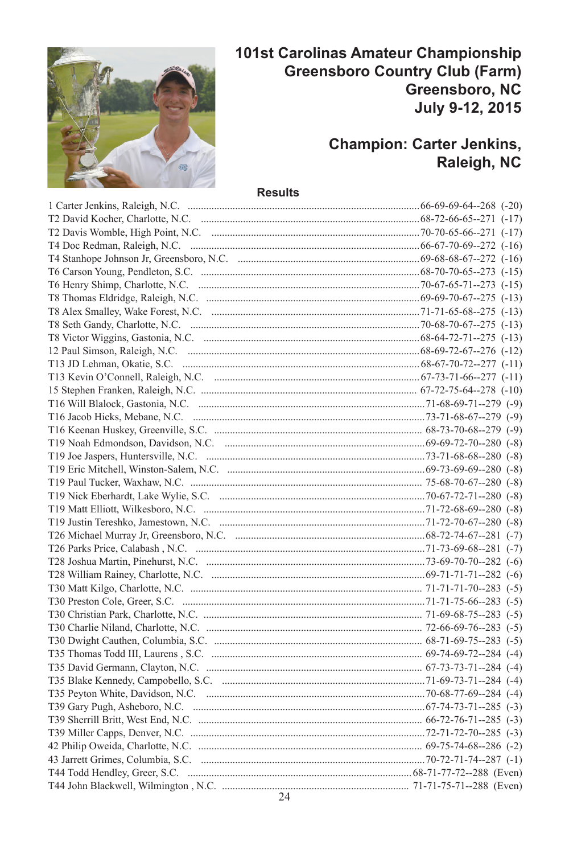

# 101st Carolinas Amateur Championship **Greensboro Country Club (Farm)** Greensboro, NC July 9-12, 2015

# **Champion: Carter Jenkins,** Raleigh, NC

#### **Results**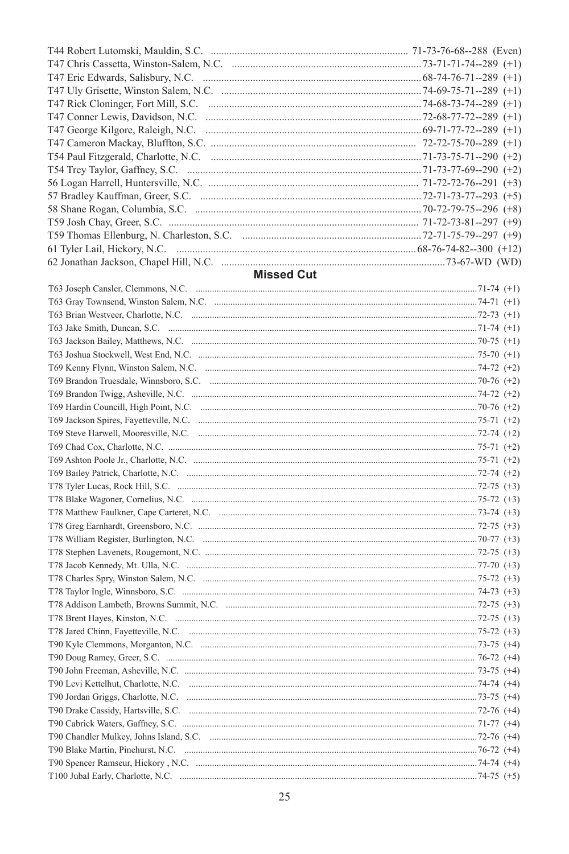|                                     | 71-73-76-68--288 (Even)         |
|-------------------------------------|---------------------------------|
|                                     | $.73 - 71 - 71 - 74 - 289$ (+1) |
|                                     | $.68-74-76-71-289$ (+1)         |
|                                     | $.74-69-75-71-289$ (+1)         |
| T47 Rick Cloninger, Fort Mill, S.C. | $.74 - 68 - 73 - 74 - 289$ (+1) |
|                                     | $.72 - 68 - 77 - 72 - 289$ (+1) |
|                                     | $.69 - 71 - 77 - 72 - 289$ (+1) |
| T47 Cameron Mackay, Bluffton, S.C.  | $72 - 72 - 75 - 70 - 289$ (+1)  |
|                                     | .71-73-75-71--290 (+2)          |
|                                     |                                 |
|                                     | $71-72-72-76-291$ (+3)          |
|                                     | $.72 - 71 - 73 - 77 - 293$ (+5) |
|                                     | $.70 - 72 - 79 - 75 - 296$ (+8) |
|                                     | $71-72-73-81-297$ (+9)          |
|                                     |                                 |
|                                     | $.68-76-74-82-300 (+12)$        |
|                                     |                                 |
| .                                   |                                 |

#### **Missed Cut**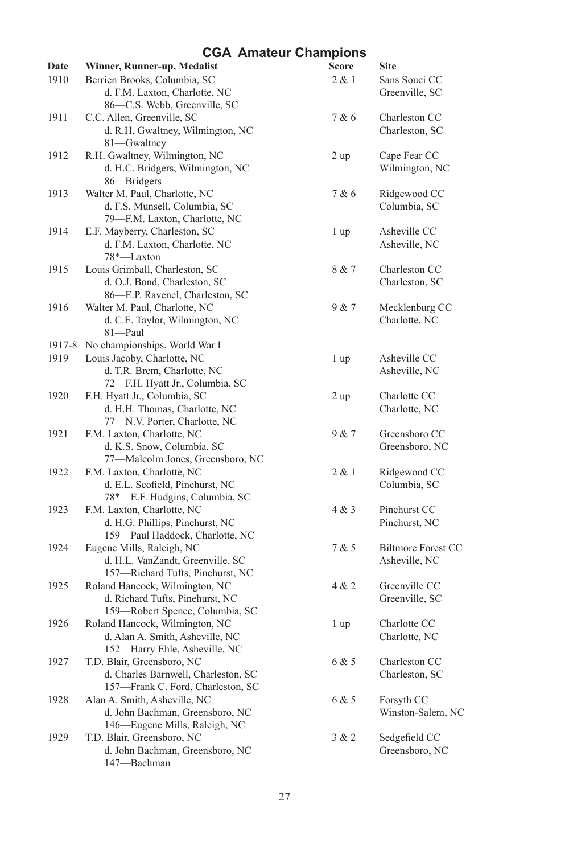| Date   | Winner, Runner-up, Medalist                                                                            | Score           | <b>Site</b>                         |
|--------|--------------------------------------------------------------------------------------------------------|-----------------|-------------------------------------|
| 1910   | Berrien Brooks, Columbia, SC<br>d. F.M. Laxton, Charlotte, NC                                          | 2 & 1           | Sans Souci CC<br>Greenville, SC     |
|        | 86-C.S. Webb, Greenville, SC                                                                           |                 |                                     |
| 1911   | C.C. Allen, Greenville, SC                                                                             | 7 & 6           | Charleston CC                       |
|        | d. R.H. Gwaltney, Wilmington, NC<br>81-Gwaltney                                                        |                 | Charleston, SC                      |
| 1912   | R.H. Gwaltney, Wilmington, NC<br>d. H.C. Bridgers, Wilmington, NC<br>86-Bridgers                       | 2 up            | Cape Fear CC<br>Wilmington, NC      |
| 1913   | Walter M. Paul, Charlotte, NC<br>d. F.S. Munsell, Columbia, SC<br>79-F.M. Laxton, Charlotte, NC        | 7 & 6           | Ridgewood CC<br>Columbia, SC        |
| 1914   | E.F. Mayberry, Charleston, SC<br>d. F.M. Laxton, Charlotte, NC<br>78*-Laxton                           | 1 up            | Asheville CC<br>Asheville, NC       |
| 1915   | Louis Grimball, Charleston, SC<br>d. O.J. Bond, Charleston, SC<br>86-E.P. Ravenel, Charleston, SC      | 8 & 7           | Charleston CC<br>Charleston, SC     |
| 1916   | Walter M. Paul, Charlotte, NC<br>d. C.E. Taylor, Wilmington, NC<br>81-Paul                             | 9 & 7           | Mecklenburg CC<br>Charlotte, NC     |
| 1917-8 | No championships, World War I                                                                          |                 |                                     |
| 1919   | Louis Jacoby, Charlotte, NC<br>d. T.R. Brem, Charlotte, NC<br>72-F.H. Hyatt Jr., Columbia, SC          | 1 <sub>up</sub> | Asheville CC<br>Asheville, NC       |
| 1920   | F.H. Hyatt Jr., Columbia, SC<br>d. H.H. Thomas, Charlotte, NC<br>77-N.V. Porter, Charlotte, NC         | 2 up            | Charlotte CC<br>Charlotte, NC       |
| 1921   | F.M. Laxton, Charlotte, NC<br>d. K.S. Snow, Columbia, SC<br>77-Malcolm Jones, Greensboro, NC           | 9 & 7           | Greensboro CC<br>Greensboro, NC     |
| 1922   | F.M. Laxton, Charlotte, NC<br>d. E.L. Scofield, Pinehurst, NC<br>78*-E.F. Hudgins, Columbia, SC        | 2 & 1           | Ridgewood CC<br>Columbia, SC        |
| 1923   | F.M. Laxton, Charlotte, NC<br>d. H.G. Phillips, Pinehurst, NC<br>159-Paul Haddock, Charlotte, NC       | 4 & 3           | Pinehurst CC<br>Pinehurst, NC       |
| 1924   | Eugene Mills, Raleigh, NC<br>d. H.L. VanZandt, Greenville, SC<br>157-Richard Tufts, Pinehurst, NC      | 7 & 5           | Biltmore Forest CC<br>Asheville, NC |
| 1925   | Roland Hancock, Wilmington, NC<br>d. Richard Tufts, Pinehurst, NC<br>159-Robert Spence, Columbia, SC   | 4 & 2           | Greenville CC<br>Greenville, SC     |
| 1926   | Roland Hancock, Wilmington, NC<br>d. Alan A. Smith, Asheville, NC<br>152—Harry Ehle, Asheville, NC     | 1 up            | Charlotte CC<br>Charlotte, NC       |
| 1927   | T.D. Blair, Greensboro, NC<br>d. Charles Barnwell, Charleston, SC<br>157-Frank C. Ford, Charleston, SC | 6 & 5           | Charleston CC<br>Charleston, SC     |
| 1928   | Alan A. Smith, Asheville, NC<br>d. John Bachman, Greensboro, NC<br>146—Eugene Mills, Raleigh, NC       | 6 & 5           | Forsyth CC<br>Winston-Salem, NC     |
| 1929   | T.D. Blair, Greensboro, NC<br>d. John Bachman, Greensboro, NC<br>147-Bachman                           | 3 & 2           | Sedgefield CC<br>Greensboro, NC     |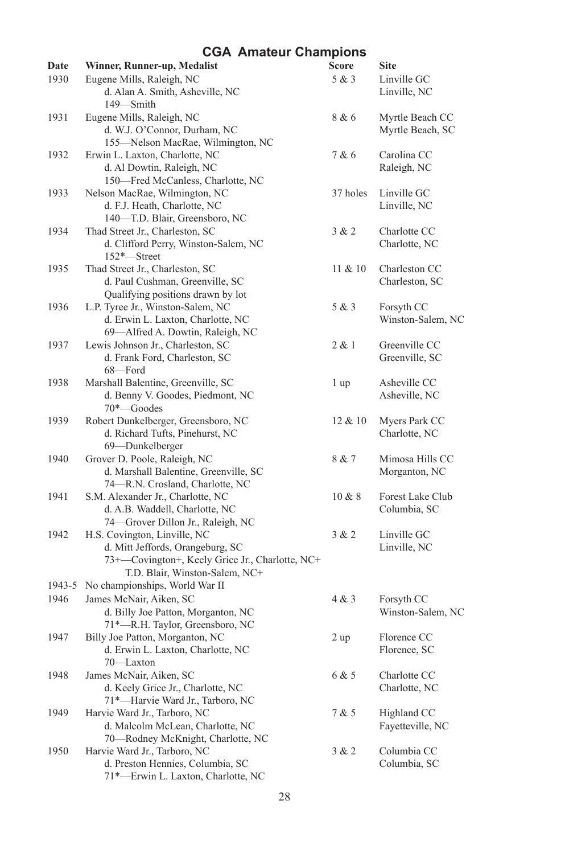| Date   | Winner, Runner-up, Medalist                                  | Score      | <b>Site</b>                         |
|--------|--------------------------------------------------------------|------------|-------------------------------------|
| 1930   | Eugene Mills, Raleigh, NC<br>d. Alan A. Smith, Asheville, NC | 5 & 3      | Linville GC<br>Linville, NC         |
|        | 149-Smith                                                    |            |                                     |
| 1931   | Eugene Mills, Raleigh, NC<br>d. W.J. O'Connor, Durham, NC    | 8 & 6      | Myrtle Beach CC<br>Myrtle Beach, SC |
|        | 155-Nelson MacRae, Wilmington, NC                            |            |                                     |
| 1932   | Erwin L. Laxton, Charlotte, NC<br>d. Al Dowtin, Raleigh, NC  | 7 & 6      | Carolina CC<br>Raleigh, NC          |
|        | 150-Fred McCanless, Charlotte, NC                            |            |                                     |
| 1933   | Nelson MacRae, Wilmington, NC                                | 37 holes   | Linville GC                         |
|        | d. F.J. Heath, Charlotte, NC                                 |            | Linville, NC                        |
|        | 140-T.D. Blair, Greensboro, NC                               |            |                                     |
| 1934   | Thad Street Jr., Charleston, SC                              | 3 & 2      | Charlotte CC                        |
|        | d. Clifford Perry, Winston-Salem, NC                         |            | Charlotte, NC                       |
|        | 152*–Street                                                  |            |                                     |
| 1935   | Thad Street Jr., Charleston, SC                              | 11 & 20    | Charleston CC                       |
|        | d. Paul Cushman, Greenville, SC                              |            | Charleston, SC                      |
|        | Qualifying positions drawn by lot                            |            |                                     |
| 1936   | L.P. Tyree Jr., Winston-Salem, NC                            | 5 & 3      | Forsyth CC                          |
|        | d. Erwin L. Laxton, Charlotte, NC                            |            | Winston-Salem, NC                   |
|        | 69-Alfred A. Dowtin, Raleigh, NC                             |            |                                     |
| 1937   | Lewis Johnson Jr., Charleston, SC                            | 2 & 1      | Greenville CC                       |
|        | d. Frank Ford, Charleston, SC                                |            | Greenville, SC                      |
|        | 68-Ford                                                      |            |                                     |
| 1938   | Marshall Balentine, Greenville, SC                           | 1 up       | Asheville CC                        |
|        | d. Benny V. Goodes, Piedmont, NC                             |            | Asheville, NC                       |
|        | 70*-Goodes                                                   |            |                                     |
| 1939   | Robert Dunkelberger, Greensboro, NC                          | $12 \& 10$ | Myers Park CC                       |
|        | d. Richard Tufts, Pinehurst, NC                              |            | Charlotte, NC                       |
|        | 69-Dunkelberger                                              |            |                                     |
| 1940   | Grover D. Poole, Raleigh, NC                                 | 8 & 7      | Mimosa Hills CC                     |
|        | d. Marshall Balentine, Greenville, SC                        |            | Morganton, NC                       |
|        | 74-R.N. Crosland, Charlotte, NC                              |            |                                     |
| 1941   | S.M. Alexander Jr., Charlotte, NC                            | $10 \& 8$  | Forest Lake Club                    |
|        | d. A.B. Waddell, Charlotte, NC                               |            | Columbia, SC                        |
|        | 74-Grover Dillon Jr., Raleigh, NC                            |            |                                     |
| 1942   | H.S. Covington, Linville, NC                                 | 3 & 2      | Linville GC                         |
|        | d. Mitt Jeffords, Orangeburg, SC                             |            | Linville, NC                        |
|        | 73+-Covington+, Keely Grice Jr., Charlotte, NC+              |            |                                     |
|        | T.D. Blair, Winston-Salem, NC+                               |            |                                     |
| 1943-5 | No championships, World War II                               |            |                                     |
| 1946   | James McNair, Aiken, SC                                      | 4 & 3      | Forsyth CC                          |
|        | d. Billy Joe Patton, Morganton, NC                           |            | Winston-Salem, NC                   |
|        | 71*-R.H. Taylor, Greensboro, NC                              |            |                                     |
| 1947   | Billy Joe Patton, Morganton, NC                              | 2 up       | Florence CC                         |
|        | d. Erwin L. Laxton, Charlotte, NC                            |            | Florence, SC                        |
| 1948   | 70-Laxton<br>James McNair, Aiken, SC                         | 6 & 5      | Charlotte CC                        |
|        | d. Keely Grice Jr., Charlotte, NC                            |            | Charlotte, NC                       |
|        | 71*-Harvie Ward Jr., Tarboro, NC                             |            |                                     |
| 1949   | Harvie Ward Jr., Tarboro, NC                                 | 7 & 5      | Highland CC                         |
|        | d. Malcolm McLean, Charlotte, NC                             |            | Fayetteville, NC                    |
|        | 70-Rodney McKnight, Charlotte, NC                            |            |                                     |
| 1950   | Harvie Ward Jr., Tarboro, NC                                 | 3 & 2      | Columbia CC                         |
|        | d. Preston Hennies, Columbia, SC                             |            | Columbia, SC                        |
|        | 71*-Erwin L. Laxton, Charlotte, NC                           |            |                                     |
|        |                                                              |            |                                     |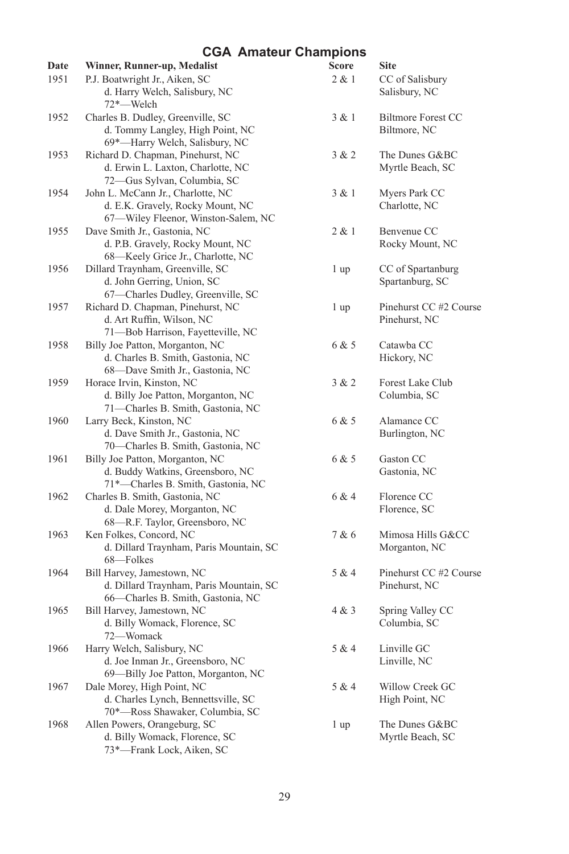| Date | Winner, Runner-up, Medalist                                        | Score | <b>Site</b>                      |
|------|--------------------------------------------------------------------|-------|----------------------------------|
| 1951 | P.J. Boatwright Jr., Aiken, SC<br>d. Harry Welch, Salisbury, NC    | 2 & 1 | CC of Salisbury<br>Salisbury, NC |
|      | 72*-Welch                                                          |       |                                  |
| 1952 | Charles B. Dudley, Greenville, SC                                  | 3 & 1 | Biltmore Forest CC               |
|      | d. Tommy Langley, High Point, NC<br>69*-Harry Welch, Salisbury, NC |       | Biltmore, NC                     |
| 1953 | Richard D. Chapman, Pinehurst, NC                                  | 3 & 2 | The Dunes G&BC                   |
|      | d. Erwin L. Laxton, Charlotte, NC<br>72-Gus Sylvan, Columbia, SC   |       | Myrtle Beach, SC                 |
| 1954 | John L. McCann Jr., Charlotte, NC                                  | 3 & 1 | Myers Park CC                    |
|      | d. E.K. Gravely, Rocky Mount, NC                                   |       | Charlotte, NC                    |
|      | 67-Wiley Fleenor, Winston-Salem, NC                                |       |                                  |
| 1955 | Dave Smith Jr., Gastonia, NC                                       | 2 & 1 | Benvenue CC                      |
|      | d. P.B. Gravely, Rocky Mount, NC                                   |       | Rocky Mount, NC                  |
|      | 68-Keely Grice Jr., Charlotte, NC                                  |       |                                  |
| 1956 | Dillard Traynham, Greenville, SC                                   | 1 up  | CC of Spartanburg                |
|      | d. John Gerring, Union, SC                                         |       | Spartanburg, SC                  |
|      | 67-Charles Dudley, Greenville, SC                                  |       |                                  |
| 1957 | Richard D. Chapman, Pinehurst, NC                                  | 1 up  | Pinehurst CC #2 Course           |
|      | d. Art Ruffin, Wilson, NC                                          |       | Pinehurst, NC                    |
|      | 71-Bob Harrison, Fayetteville, NC                                  |       |                                  |
| 1958 | Billy Joe Patton, Morganton, NC                                    | 6 & 5 | Catawba CC                       |
|      | d. Charles B. Smith, Gastonia, NC                                  |       | Hickory, NC                      |
|      | 68-Dave Smith Jr., Gastonia, NC                                    |       |                                  |
| 1959 | Horace Irvin, Kinston, NC                                          | 3 & 2 | Forest Lake Club                 |
|      | d. Billy Joe Patton, Morganton, NC                                 |       | Columbia, SC                     |
|      | 71-Charles B. Smith, Gastonia, NC                                  |       |                                  |
| 1960 | Larry Beck, Kinston, NC                                            | 6 & 5 | Alamance CC                      |
|      | d. Dave Smith Jr., Gastonia, NC                                    |       | Burlington, NC                   |
|      | 70-Charles B. Smith, Gastonia, NC                                  |       |                                  |
| 1961 | Billy Joe Patton, Morganton, NC                                    | 6 & 5 | Gaston CC                        |
|      | d. Buddy Watkins, Greensboro, NC                                   |       | Gastonia, NC                     |
|      | 71*-Charles B. Smith, Gastonia, NC                                 |       |                                  |
| 1962 | Charles B. Smith, Gastonia, NC                                     | 6 & 4 | Florence CC                      |
|      | d. Dale Morey, Morganton, NC                                       |       | Florence, SC                     |
|      | 68-R.F. Taylor, Greensboro, NC                                     |       |                                  |
| 1963 | Ken Folkes, Concord, NC                                            | 7 & 6 | Mimosa Hills G&CC                |
|      | d. Dillard Traynham, Paris Mountain, SC                            |       | Morganton, NC                    |
|      | 68-Folkes                                                          |       |                                  |
| 1964 | Bill Harvey, Jamestown, NC                                         | 5 & 4 | Pinehurst CC #2 Course           |
|      | d. Dillard Traynham, Paris Mountain, SC                            |       | Pinehurst, NC                    |
|      | 66-Charles B. Smith, Gastonia, NC                                  |       |                                  |
| 1965 | Bill Harvey, Jamestown, NC                                         | 4 & 3 | Spring Valley CC                 |
|      | d. Billy Womack, Florence, SC                                      |       | Columbia, SC                     |
|      | 72-Womack                                                          |       |                                  |
| 1966 | Harry Welch, Salisbury, NC                                         | 5 & 4 | Linville GC                      |
|      | d. Joe Inman Jr., Greensboro, NC                                   |       | Linville, NC                     |
|      | 69-Billy Joe Patton, Morganton, NC                                 |       |                                  |
| 1967 | Dale Morey, High Point, NC                                         | 5 & 4 | Willow Creek GC                  |
|      | d. Charles Lynch, Bennettsville, SC                                |       | High Point, NC                   |
|      | 70*-Ross Shawaker, Columbia, SC                                    |       |                                  |
| 1968 | Allen Powers, Orangeburg, SC                                       | 1 up  | The Dunes G&BC                   |
|      | d. Billy Womack, Florence, SC                                      |       | Myrtle Beach, SC                 |
|      | 73*-Frank Lock, Aiken, SC                                          |       |                                  |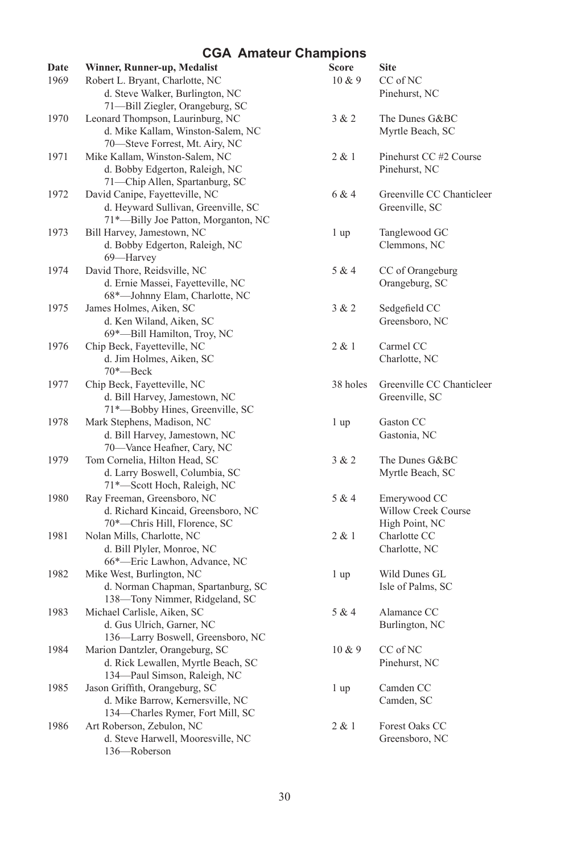| Date | Winner, Runner-up, Medalist         | <b>Score</b> | <b>Site</b>               |
|------|-------------------------------------|--------------|---------------------------|
| 1969 | Robert L. Bryant, Charlotte, NC     | 10 & 9       | CC of NC                  |
|      | d. Steve Walker, Burlington, NC     |              | Pinehurst, NC             |
|      | 71-Bill Ziegler, Orangeburg, SC     |              |                           |
| 1970 | Leonard Thompson, Laurinburg, NC    | 3 & 2        | The Dunes G&BC            |
|      | d. Mike Kallam, Winston-Salem, NC   |              | Myrtle Beach, SC          |
|      | 70-Steve Forrest, Mt. Airy, NC      |              |                           |
| 1971 | Mike Kallam, Winston-Salem, NC      | 2 & 1        | Pinehurst CC #2 Course    |
|      | d. Bobby Edgerton, Raleigh, NC      |              | Pinehurst, NC             |
|      | 71-Chip Allen, Spartanburg, SC      |              |                           |
| 1972 | David Canipe, Fayetteville, NC      | 6 & 4        | Greenville CC Chanticleer |
|      | d. Heyward Sullivan, Greenville, SC |              | Greenville, SC            |
|      | 71*-Billy Joe Patton, Morganton, NC |              |                           |
| 1973 | Bill Harvey, Jamestown, NC          | 1 up         | Tanglewood GC             |
|      | d. Bobby Edgerton, Raleigh, NC      |              | Clemmons, NC              |
|      | 69-Harvey                           |              |                           |
| 1974 | David Thore, Reidsville, NC         | 5 & 4        | CC of Orangeburg          |
|      | d. Ernie Massei, Fayetteville, NC   |              | Orangeburg, SC            |
|      | 68*-Johnny Elam, Charlotte, NC      |              |                           |
| 1975 | James Holmes, Aiken, SC             | 3 & 2        | Sedgefield CC             |
|      | d. Ken Wiland, Aiken, SC            |              | Greensboro, NC            |
|      | 69*-Bill Hamilton, Troy, NC         |              |                           |
| 1976 | Chip Beck, Fayetteville, NC         | 2 & 1        | Carmel CC                 |
|      | d. Jim Holmes, Aiken, SC            |              | Charlotte, NC             |
|      | $70^*$ —Beck                        |              |                           |
| 1977 | Chip Beck, Fayetteville, NC         | 38 holes     | Greenville CC Chanticleer |
|      | d. Bill Harvey, Jamestown, NC       |              | Greenville, SC            |
|      | 71*-Bobby Hines, Greenville, SC     |              |                           |
| 1978 | Mark Stephens, Madison, NC          | 1 up         | Gaston CC                 |
|      | d. Bill Harvey, Jamestown, NC       |              | Gastonia, NC              |
|      | 70-Vance Heafner, Cary, NC          |              |                           |
| 1979 | Tom Cornelia, Hilton Head, SC       | 3 & 2        | The Dunes G&BC            |
|      | d. Larry Boswell, Columbia, SC      |              | Myrtle Beach, SC          |
|      | 71*-Scott Hoch, Raleigh, NC         |              |                           |
| 1980 | Ray Freeman, Greensboro, NC         | 5 & 4        | Emerywood CC              |
|      | d. Richard Kincaid, Greensboro, NC  |              | Willow Creek Course       |
|      | 70*-Chris Hill, Florence, SC        |              | High Point, NC            |
| 1981 | Nolan Mills, Charlotte, NC          | 2 & 1        | Charlotte CC              |
|      | d. Bill Plyler, Monroe, NC          |              | Charlotte, NC             |
|      | 66*-Eric Lawhon, Advance, NC        |              |                           |
| 1982 | Mike West, Burlington, NC           | 1 up         | Wild Dunes GL             |
|      | d. Norman Chapman, Spartanburg, SC  |              | Isle of Palms, SC         |
|      | 138-Tony Nimmer, Ridgeland, SC      |              |                           |
| 1983 | Michael Carlisle, Aiken, SC         | 5 & 4        | Alamance CC               |
|      | d. Gus Ulrich, Garner, NC           |              | Burlington, NC            |
|      | 136-Larry Boswell, Greensboro, NC   |              |                           |
| 1984 | Marion Dantzler, Orangeburg, SC     | 10 & 9       | CC of NC                  |
|      | d. Rick Lewallen, Myrtle Beach, SC  |              | Pinehurst, NC             |
|      | 134-Paul Simson, Raleigh, NC        |              |                           |
| 1985 | Jason Griffith, Orangeburg, SC      | 1 up         | Camden CC                 |
|      | d. Mike Barrow, Kernersville, NC    |              | Camden, SC                |
|      | 134-Charles Rymer, Fort Mill, SC    |              |                           |
| 1986 | Art Roberson, Zebulon, NC           | 2 & 1        | Forest Oaks CC            |
|      | d. Steve Harwell, Mooresville, NC   |              | Greensboro, NC            |
|      | 136-Roberson                        |              |                           |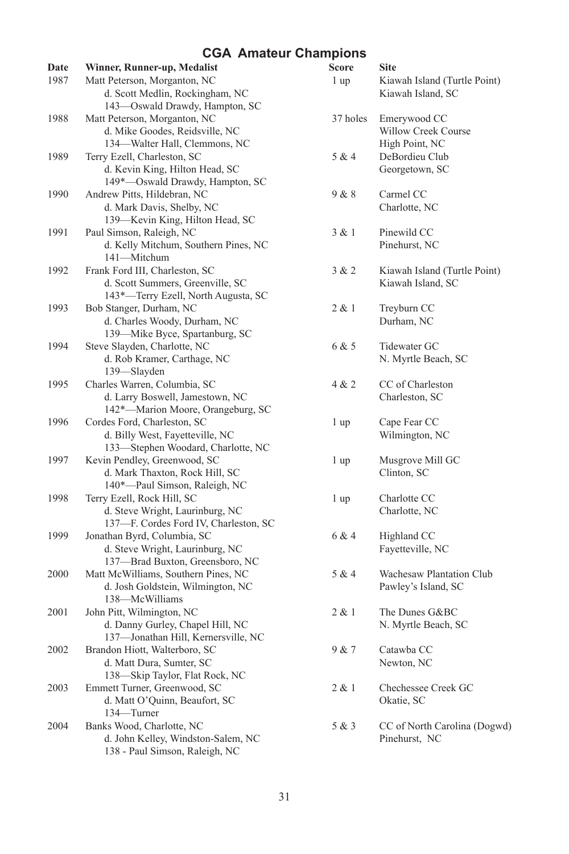| Date | Winner, Runner-up, Medalist                                     | Score           | <b>Site</b>                     |
|------|-----------------------------------------------------------------|-----------------|---------------------------------|
| 1987 | Matt Peterson, Morganton, NC                                    | 1 <sub>up</sub> | Kiawah Island (Turtle Point)    |
|      | d. Scott Medlin, Rockingham, NC                                 |                 | Kiawah Island, SC               |
|      | 143-Oswald Drawdy, Hampton, SC                                  |                 |                                 |
| 1988 | Matt Peterson, Morganton, NC                                    | 37 holes        | Emerywood CC                    |
|      | d. Mike Goodes, Reidsville, NC                                  |                 | Willow Creek Course             |
|      | 134-Walter Hall, Clemmons, NC                                   |                 | High Point, NC                  |
| 1989 | Terry Ezell, Charleston, SC                                     | 5 & 4           | DeBordieu Club                  |
|      | d. Kevin King, Hilton Head, SC                                  |                 | Georgetown, SC                  |
|      | 149*-Oswald Drawdy, Hampton, SC                                 |                 |                                 |
| 1990 | Andrew Pitts, Hildebran, NC                                     | 9 & 8           | Carmel CC                       |
|      | d. Mark Davis, Shelby, NC                                       |                 | Charlotte, NC                   |
|      | 139-Kevin King, Hilton Head, SC                                 |                 |                                 |
| 1991 | Paul Simson, Raleigh, NC                                        | 3 & 1           | Pinewild CC                     |
|      | d. Kelly Mitchum, Southern Pines, NC                            |                 | Pinehurst, NC                   |
|      | 141-Mitchum                                                     |                 |                                 |
| 1992 | Frank Ford III, Charleston, SC                                  | 3 & 2           | Kiawah Island (Turtle Point)    |
|      | d. Scott Summers, Greenville, SC                                |                 | Kiawah Island, SC               |
|      | 143*—Terry Ezell, North Augusta, SC                             |                 |                                 |
| 1993 | Bob Stanger, Durham, NC                                         | 2 & 1           | Treyburn CC                     |
|      | d. Charles Woody, Durham, NC                                    |                 | Durham, NC                      |
|      | 139-Mike Byce, Spartanburg, SC                                  |                 |                                 |
| 1994 | Steve Slayden, Charlotte, NC                                    | 6 & 5           | Tidewater GC                    |
|      | d. Rob Kramer, Carthage, NC                                     |                 | N. Myrtle Beach, SC             |
|      | 139-Slayden                                                     |                 |                                 |
| 1995 | Charles Warren, Columbia, SC                                    | 4 & 2           | CC of Charleston                |
|      | d. Larry Boswell, Jamestown, NC                                 |                 | Charleston, SC                  |
|      | 142*-Marion Moore, Orangeburg, SC                               |                 |                                 |
| 1996 | Cordes Ford, Charleston, SC                                     | 1 up            | Cape Fear CC                    |
|      | d. Billy West, Fayetteville, NC                                 |                 | Wilmington, NC                  |
|      | 133-Stephen Woodard, Charlotte, NC                              |                 |                                 |
| 1997 | Kevin Pendley, Greenwood, SC                                    | 1 up            | Musgrove Mill GC<br>Clinton, SC |
|      | d. Mark Thaxton, Rock Hill, SC<br>140*-Paul Simson, Raleigh, NC |                 |                                 |
| 1998 | Terry Ezell, Rock Hill, SC                                      | 1 up            | Charlotte CC                    |
|      | d. Steve Wright, Laurinburg, NC                                 |                 | Charlotte, NC                   |
|      | 137-F. Cordes Ford IV, Charleston, SC                           |                 |                                 |
| 1999 | Jonathan Byrd, Columbia, SC                                     | 6 & 4           | Highland CC                     |
|      | d. Steve Wright, Laurinburg, NC                                 |                 | Fayetteville, NC                |
|      | 137-Brad Buxton, Greensboro, NC                                 |                 |                                 |
| 2000 | Matt McWilliams, Southern Pines, NC                             | 5 & 4           | Wachesaw Plantation Club        |
|      | d. Josh Goldstein, Wilmington, NC                               |                 | Pawley's Island, SC             |
|      | 138-McWilliams                                                  |                 |                                 |
| 2001 | John Pitt, Wilmington, NC                                       | 2 & 1           | The Dunes G&BC                  |
|      | d. Danny Gurley, Chapel Hill, NC                                |                 | N. Myrtle Beach, SC             |
|      | 137-Jonathan Hill, Kernersville, NC                             |                 |                                 |
| 2002 | Brandon Hiott, Walterboro, SC                                   | 9 & 7           | Catawba CC                      |
|      | d. Matt Dura, Sumter, SC                                        |                 | Newton, NC                      |
|      | 138-Skip Taylor, Flat Rock, NC                                  |                 |                                 |
| 2003 | Emmett Turner, Greenwood, SC                                    | 2 & 1           | Chechessee Creek GC             |
|      | d. Matt O'Quinn, Beaufort, SC                                   |                 | Okatie, SC                      |
|      | 134—Turner                                                      |                 |                                 |
| 2004 | Banks Wood, Charlotte, NC                                       | 5 & 3           | CC of North Carolina (Dogwd)    |
|      | d. John Kelley, Windston-Salem, NC                              |                 | Pinehurst, NC                   |
|      | 138 - Paul Simson, Raleigh, NC                                  |                 |                                 |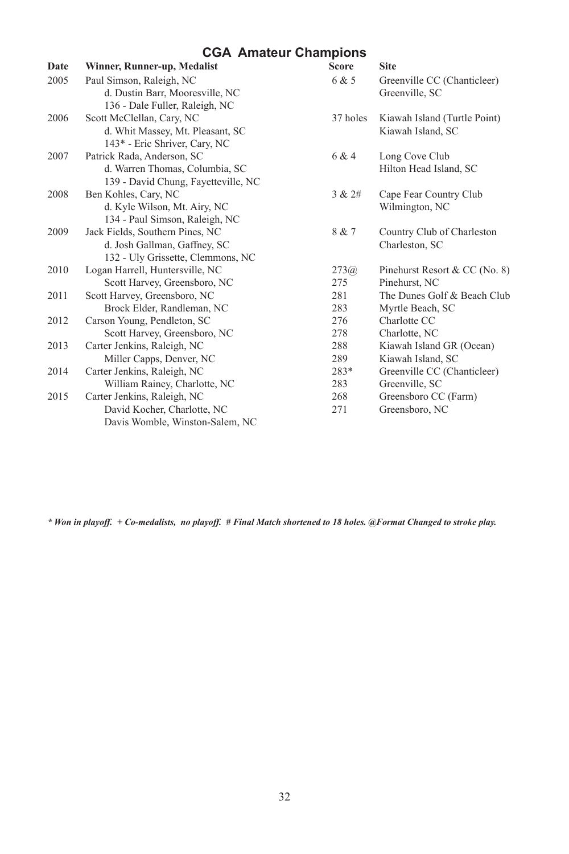| Date | Winner, Runner-up, Medalist         | <b>Score</b> | <b>Site</b>                   |
|------|-------------------------------------|--------------|-------------------------------|
| 2005 | Paul Simson, Raleigh, NC            | 6 & 5        | Greenville CC (Chanticleer)   |
|      | d. Dustin Barr, Mooresville, NC     |              | Greenville, SC                |
|      | 136 - Dale Fuller, Raleigh, NC      |              |                               |
| 2006 | Scott McClellan, Cary, NC           | 37 holes     | Kiawah Island (Turtle Point)  |
|      | d. Whit Massey, Mt. Pleasant, SC    |              | Kiawah Island, SC             |
|      | 143* - Eric Shriver, Cary, NC       |              |                               |
| 2007 | Patrick Rada, Anderson, SC          | 6 & 4        | Long Cove Club                |
|      | d. Warren Thomas, Columbia, SC      |              | Hilton Head Island, SC        |
|      | 139 - David Chung, Fayetteville, NC |              |                               |
| 2008 | Ben Kohles, Cary, NC                | 3 & 2#       | Cape Fear Country Club        |
|      | d. Kyle Wilson, Mt. Airy, NC        |              | Wilmington, NC                |
|      | 134 - Paul Simson, Raleigh, NC      |              |                               |
| 2009 | Jack Fields, Southern Pines, NC     | 8 & 7        | Country Club of Charleston    |
|      | d. Josh Gallman, Gaffney, SC        |              | Charleston, SC                |
|      | 132 - Uly Grissette, Clemmons, NC   |              |                               |
| 2010 | Logan Harrell, Huntersville, NC     | 273(a)       | Pinehurst Resort & CC (No. 8) |
|      | Scott Harvey, Greensboro, NC        | 275          | Pinehurst, NC                 |
| 2011 | Scott Harvey, Greensboro, NC        | 281          | The Dunes Golf & Beach Club   |
|      | Brock Elder, Randleman, NC          | 283          | Myrtle Beach, SC              |
| 2012 | Carson Young, Pendleton, SC         | 276          | Charlotte CC                  |
|      | Scott Harvey, Greensboro, NC        | 278          | Charlotte, NC                 |
| 2013 | Carter Jenkins, Raleigh, NC         | 288          | Kiawah Island GR (Ocean)      |
|      | Miller Capps, Denver, NC            | 289          | Kiawah Island, SC             |
| 2014 | Carter Jenkins, Raleigh, NC         | $283*$       | Greenville CC (Chanticleer)   |
|      | William Rainey, Charlotte, NC       | 283          | Greenville, SC                |
| 2015 | Carter Jenkins, Raleigh, NC         | 268          | Greensboro CC (Farm)          |
|      | David Kocher, Charlotte, NC         | 271          | Greensboro, NC                |
|      | Davis Womble, Winston-Salem, NC     |              |                               |

*\* Won in playoff. + Co-medalists, no playoff. # Final Match shortened to 18 holes. @Format Changed to stroke play.*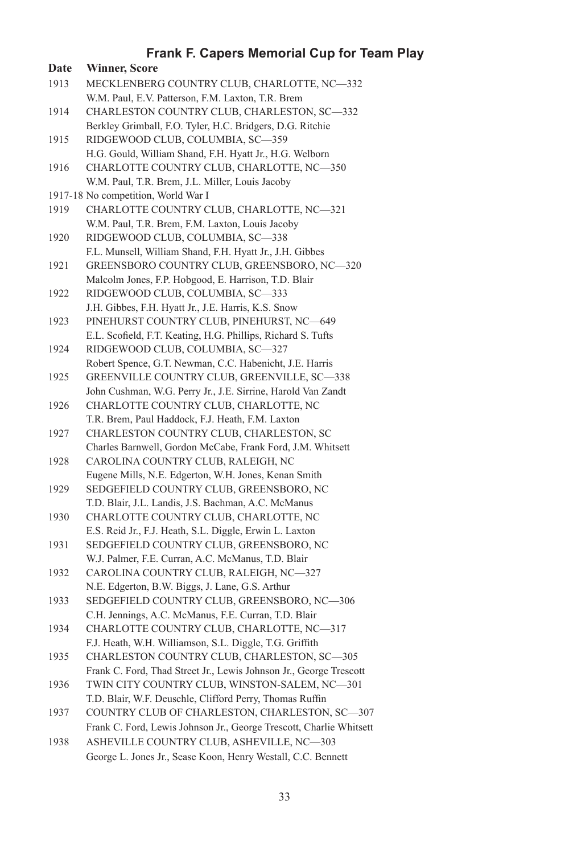| Date | <b>Winner, Score</b>                                                                                    |
|------|---------------------------------------------------------------------------------------------------------|
| 1913 | MECKLENBERG COUNTRY CLUB, CHARLOTTE, NC-332                                                             |
|      | W.M. Paul, E.V. Patterson, F.M. Laxton, T.R. Brem                                                       |
| 1914 | CHARLESTON COUNTRY CLUB, CHARLESTON, SC-332                                                             |
|      | Berkley Grimball, F.O. Tyler, H.C. Bridgers, D.G. Ritchie                                               |
| 1915 | RIDGEWOOD CLUB, COLUMBIA, SC-359                                                                        |
|      | H.G. Gould, William Shand, F.H. Hyatt Jr., H.G. Welborn                                                 |
| 1916 | CHARLOTTE COUNTRY CLUB, CHARLOTTE, NC-350                                                               |
|      | W.M. Paul, T.R. Brem, J.L. Miller, Louis Jacoby                                                         |
|      | 1917-18 No competition, World War I                                                                     |
| 1919 | CHARLOTTE COUNTRY CLUB, CHARLOTTE, NC-321                                                               |
|      | W.M. Paul, T.R. Brem, F.M. Laxton, Louis Jacoby                                                         |
| 1920 | RIDGEWOOD CLUB, COLUMBIA, SC-338                                                                        |
|      |                                                                                                         |
| 1921 | F.L. Munsell, William Shand, F.H. Hyatt Jr., J.H. Gibbes<br>GREENSBORO COUNTRY CLUB, GREENSBORO, NC-320 |
|      |                                                                                                         |
|      | Malcolm Jones, F.P. Hobgood, E. Harrison, T.D. Blair                                                    |
| 1922 | RIDGEWOOD CLUB, COLUMBIA, SC-333                                                                        |
|      | J.H. Gibbes, F.H. Hyatt Jr., J.E. Harris, K.S. Snow                                                     |
| 1923 | PINEHURST COUNTRY CLUB, PINEHURST, NC-649                                                               |
|      | E.L. Scofield, F.T. Keating, H.G. Phillips, Richard S. Tufts                                            |
| 1924 | RIDGEWOOD CLUB, COLUMBIA, SC-327                                                                        |
|      | Robert Spence, G.T. Newman, C.C. Habenicht, J.E. Harris                                                 |
| 1925 | GREENVILLE COUNTRY CLUB, GREENVILLE, SC-338                                                             |
|      | John Cushman, W.G. Perry Jr., J.E. Sirrine, Harold Van Zandt                                            |
| 1926 | CHARLOTTE COUNTRY CLUB, CHARLOTTE, NC                                                                   |
|      | T.R. Brem, Paul Haddock, F.J. Heath, F.M. Laxton                                                        |
| 1927 | CHARLESTON COUNTRY CLUB, CHARLESTON, SC                                                                 |
|      | Charles Barnwell, Gordon McCabe, Frank Ford, J.M. Whitsett                                              |
| 1928 | CAROLINA COUNTRY CLUB, RALEIGH, NC                                                                      |
|      | Eugene Mills, N.E. Edgerton, W.H. Jones, Kenan Smith                                                    |
| 1929 | SEDGEFIELD COUNTRY CLUB, GREENSBORO, NC                                                                 |
|      | T.D. Blair, J.L. Landis, J.S. Bachman, A.C. McManus                                                     |
| 1930 | CHARLOTTE COUNTRY CLUB, CHARLOTTE, NC                                                                   |
|      | E.S. Reid Jr., F.J. Heath, S.L. Diggle, Erwin L. Laxton                                                 |
| 1931 | SEDGEFIELD COUNTRY CLUB, GREENSBORO, NC                                                                 |
|      | W.J. Palmer, F.E. Curran, A.C. McManus, T.D. Blair                                                      |
| 1932 | CAROLINA COUNTRY CLUB, RALEIGH, NC-327                                                                  |
|      | N.E. Edgerton, B.W. Biggs, J. Lane, G.S. Arthur                                                         |
| 1933 | SEDGEFIELD COUNTRY CLUB, GREENSBORO, NC-306                                                             |
|      | C.H. Jennings, A.C. McManus, F.E. Curran, T.D. Blair                                                    |
| 1934 | CHARLOTTE COUNTRY CLUB, CHARLOTTE, NC-317                                                               |
|      | F.J. Heath, W.H. Williamson, S.L. Diggle, T.G. Griffith                                                 |
| 1935 | CHARLESTON COUNTRY CLUB, CHARLESTON, SC-305                                                             |
|      | Frank C. Ford, Thad Street Jr., Lewis Johnson Jr., George Trescott                                      |
| 1936 | TWIN CITY COUNTRY CLUB, WINSTON-SALEM, NC-301                                                           |
|      | T.D. Blair, W.F. Deuschle, Clifford Perry, Thomas Ruffin                                                |
| 1937 | COUNTRY CLUB OF CHARLESTON, CHARLESTON, SC-307                                                          |
|      | Frank C. Ford, Lewis Johnson Jr., George Trescott, Charlie Whitsett                                     |
| 1938 | ASHEVILLE COUNTRY CLUB, ASHEVILLE, NC-303                                                               |

George L. Jones Jr., Sease Koon, Henry Westall, C.C. Bennett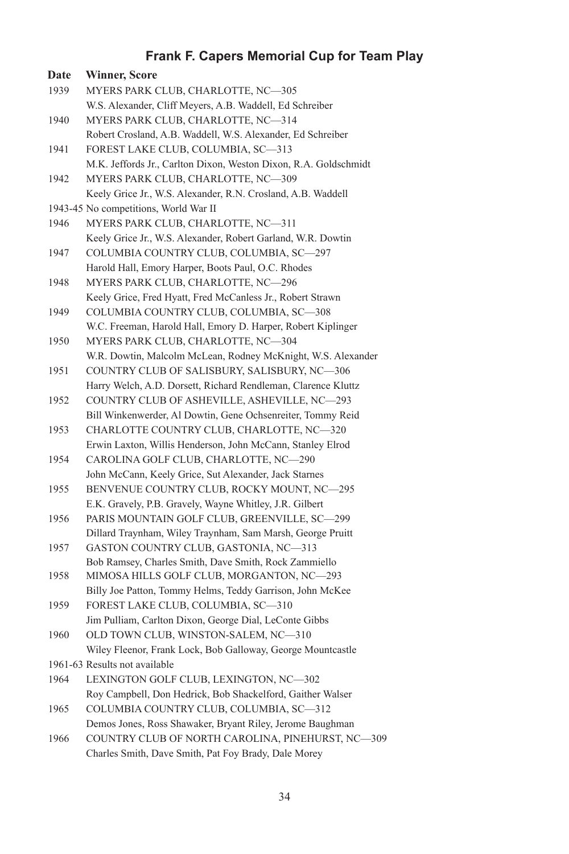| <b>Date</b> | Winner, Score                                                    |
|-------------|------------------------------------------------------------------|
| 1939        | MYERS PARK CLUB, CHARLOTTE, NC-305                               |
|             | W.S. Alexander, Cliff Meyers, A.B. Waddell, Ed Schreiber         |
| 1940        | MYERS PARK CLUB, CHARLOTTE, NC-314                               |
|             | Robert Crosland, A.B. Waddell, W.S. Alexander, Ed Schreiber      |
| 1941        | FOREST LAKE CLUB, COLUMBIA, SC—313                               |
|             | M.K. Jeffords Jr., Carlton Dixon, Weston Dixon, R.A. Goldschmidt |
| 1942        | MYERS PARK CLUB, CHARLOTTE, NC-309                               |
|             | Keely Grice Jr., W.S. Alexander, R.N. Crosland, A.B. Waddell     |
|             | 1943-45 No competitions, World War II                            |
| 1946        | MYERS PARK CLUB, CHARLOTTE, NC-311                               |
|             | Keely Grice Jr., W.S. Alexander, Robert Garland, W.R. Dowtin     |
| 1947        | COLUMBIA COUNTRY CLUB, COLUMBIA, SC-297                          |
|             | Harold Hall, Emory Harper, Boots Paul, O.C. Rhodes               |
| 1948        | MYERS PARK CLUB, CHARLOTTE, NC-296                               |
|             | Keely Grice, Fred Hyatt, Fred McCanless Jr., Robert Strawn       |
| 1949        | COLUMBIA COUNTRY CLUB, COLUMBIA, SC-308                          |
|             | W.C. Freeman, Harold Hall, Emory D. Harper, Robert Kiplinger     |
| 1950        | MYERS PARK CLUB, CHARLOTTE, NC-304                               |
|             | W.R. Dowtin, Malcolm McLean, Rodney McKnight, W.S. Alexander     |
| 1951        | COUNTRY CLUB OF SALISBURY, SALISBURY, NC-306                     |
|             | Harry Welch, A.D. Dorsett, Richard Rendleman, Clarence Kluttz    |
| 1952        | COUNTRY CLUB OF ASHEVILLE, ASHEVILLE, NC-293                     |
|             | Bill Winkenwerder, Al Dowtin, Gene Ochsenreiter, Tommy Reid      |
| 1953        | CHARLOTTE COUNTRY CLUB, CHARLOTTE, NC-320                        |
|             | Erwin Laxton, Willis Henderson, John McCann, Stanley Elrod       |
| 1954        | CAROLINA GOLF CLUB, CHARLOTTE, NC-290                            |
|             | John McCann, Keely Grice, Sut Alexander, Jack Starnes            |
| 1955        | BENVENUE COUNTRY CLUB, ROCKY MOUNT, NC-295                       |
|             | E.K. Gravely, P.B. Gravely, Wayne Whitley, J.R. Gilbert          |
| 1956        | PARIS MOUNTAIN GOLF CLUB, GREENVILLE, SC-299                     |
|             | Dillard Traynham, Wiley Traynham, Sam Marsh, George Pruitt       |
| 1957        | GASTON COUNTRY CLUB, GASTONIA, NC-313                            |
|             | Bob Ramsey, Charles Smith, Dave Smith, Rock Zammiello            |
| 1958        | MIMOSA HILLS GOLF CLUB, MORGANTON, NC—293                        |
|             | Billy Joe Patton, Tommy Helms, Teddy Garrison, John McKee        |
| 1959        | FOREST LAKE CLUB, COLUMBIA, SC—310                               |
|             | Jim Pulliam, Carlton Dixon, George Dial, LeConte Gibbs           |
| 1960        | OLD TOWN CLUB, WINSTON-SALEM, NC-310                             |
|             | Wiley Fleenor, Frank Lock, Bob Galloway, George Mountcastle      |
|             | 1961-63 Results not available                                    |
| 1964        | LEXINGTON GOLF CLUB, LEXINGTON, NC-302                           |
|             | Roy Campbell, Don Hedrick, Bob Shackelford, Gaither Walser       |
| 1965        | COLUMBIA COUNTRY CLUB, COLUMBIA, SC-312                          |
|             | Demos Jones, Ross Shawaker, Bryant Riley, Jerome Baughman        |
| 1966        | COUNTRY CLUB OF NORTH CAROLINA, PINEHURST, NC-309                |
|             |                                                                  |

Charles Smith, Dave Smith, Pat Foy Brady, Dale Morey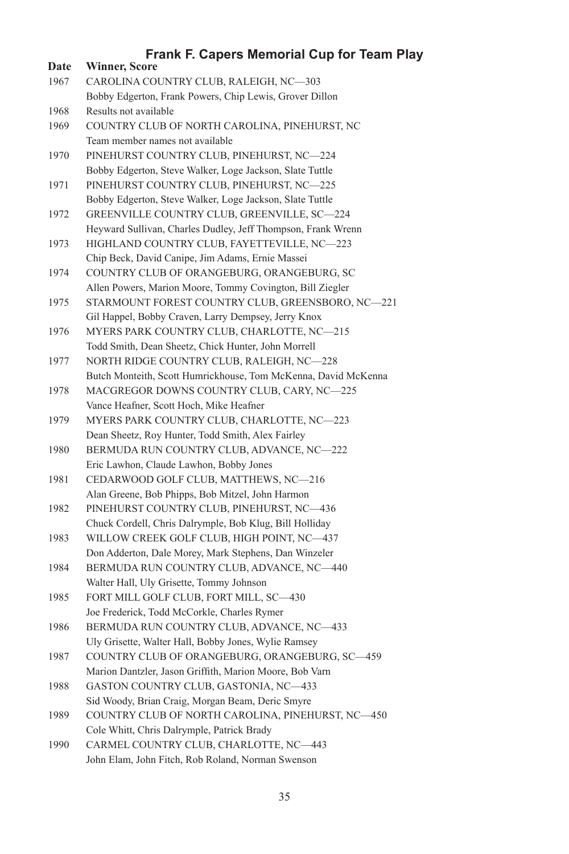| <b>Date</b> | <b>Winner, Score</b>                                           |
|-------------|----------------------------------------------------------------|
| 1967        | CAROLINA COUNTRY CLUB, RALEIGH, NC-303                         |
|             | Bobby Edgerton, Frank Powers, Chip Lewis, Grover Dillon        |
| 1968        | Results not available                                          |
| 1969        | COUNTRY CLUB OF NORTH CAROLINA, PINEHURST, NC                  |
|             | Team member names not available                                |
| 1970        | PINEHURST COUNTRY CLUB, PINEHURST, NC-224                      |
|             | Bobby Edgerton, Steve Walker, Loge Jackson, Slate Tuttle       |
| 1971        | PINEHURST COUNTRY CLUB, PINEHURST, NC-225                      |
|             | Bobby Edgerton, Steve Walker, Loge Jackson, Slate Tuttle       |
| 1972        | GREENVILLE COUNTRY CLUB, GREENVILLE, SC-224                    |
|             | Heyward Sullivan, Charles Dudley, Jeff Thompson, Frank Wrenn   |
| 1973        | HIGHLAND COUNTRY CLUB, FAYETTEVILLE, NC-223                    |
|             | Chip Beck, David Canipe, Jim Adams, Ernie Massei               |
| 1974        | COUNTRY CLUB OF ORANGEBURG, ORANGEBURG, SC                     |
|             | Allen Powers, Marion Moore, Tommy Covington, Bill Ziegler      |
| 1975        | STARMOUNT FOREST COUNTRY CLUB, GREENSBORO, NC-221              |
|             | Gil Happel, Bobby Craven, Larry Dempsey, Jerry Knox            |
| 1976        | MYERS PARK COUNTRY CLUB, CHARLOTTE, NC-215                     |
|             | Todd Smith, Dean Sheetz, Chick Hunter, John Morrell            |
| 1977        | NORTH RIDGE COUNTRY CLUB, RALEIGH, NC—228                      |
|             | Butch Monteith, Scott Humrickhouse, Tom McKenna, David McKenna |
| 1978        | MACGREGOR DOWNS COUNTRY CLUB, CARY, NC-225                     |
|             | Vance Heafner, Scott Hoch, Mike Heafner                        |
| 1979        | MYERS PARK COUNTRY CLUB, CHARLOTTE, NC-223                     |
|             | Dean Sheetz, Roy Hunter, Todd Smith, Alex Fairley              |
| 1980        | BERMUDA RUN COUNTRY CLUB, ADVANCE, NC-222                      |
|             | Eric Lawhon, Claude Lawhon, Bobby Jones                        |
| 1981        | CEDARWOOD GOLF CLUB, MATTHEWS, NC-216                          |
|             | Alan Greene, Bob Phipps, Bob Mitzel, John Harmon               |
| 1982        | PINEHURST COUNTRY CLUB, PINEHURST, NC-436                      |
|             | Chuck Cordell, Chris Dalrymple, Bob Klug, Bill Holliday        |
| 1983        | WILLOW CREEK GOLF CLUB, HIGH POINT, NC-437                     |
|             | Don Adderton, Dale Morey, Mark Stephens, Dan Winzeler          |
| 1984        | BERMUDA RUN COUNTRY CLUB, ADVANCE, NC-440                      |
|             | Walter Hall, Uly Grisette, Tommy Johnson                       |
| 1985        | FORT MILL GOLF CLUB, FORT MILL, SC-430                         |
|             | Joe Frederick, Todd McCorkle, Charles Rymer                    |
| 1986        | BERMUDA RUN COUNTRY CLUB, ADVANCE, NC-433                      |
|             | Uly Grisette, Walter Hall, Bobby Jones, Wylie Ramsey           |
| 1987        | COUNTRY CLUB OF ORANGEBURG, ORANGEBURG, SC-459                 |
|             | Marion Dantzler, Jason Griffith, Marion Moore, Bob Varn        |
| 1988        | GASTON COUNTRY CLUB, GASTONIA, NC-433                          |
|             | Sid Woody, Brian Craig, Morgan Beam, Deric Smyre               |
| 1989        | COUNTRY CLUB OF NORTH CAROLINA, PINEHURST, NC-450              |
|             | Cole Whitt, Chris Dalrymple, Patrick Brady                     |
| 1990        | CARMEL COUNTRY CLUB, CHARLOTTE, NC-443                         |

John Elam, John Fitch, Rob Roland, Norman Swenson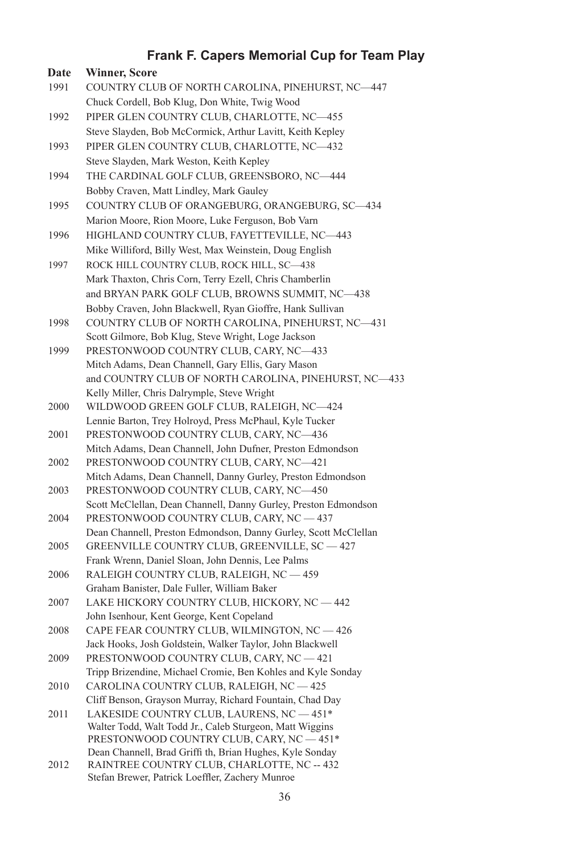| Date | <b>Winner, Score</b>                                            |
|------|-----------------------------------------------------------------|
| 1991 | COUNTRY CLUB OF NORTH CAROLINA, PINEHURST, NC-447               |
|      | Chuck Cordell, Bob Klug, Don White, Twig Wood                   |
| 1992 | PIPER GLEN COUNTRY CLUB, CHARLOTTE, NC-455                      |
|      | Steve Slayden, Bob McCormick, Arthur Lavitt, Keith Kepley       |
| 1993 | PIPER GLEN COUNTRY CLUB, CHARLOTTE, NC-432                      |
|      | Steve Slayden, Mark Weston, Keith Kepley                        |
| 1994 | THE CARDINAL GOLF CLUB, GREENSBORO, NC-444                      |
|      |                                                                 |
|      | Bobby Craven, Matt Lindley, Mark Gauley                         |
| 1995 | COUNTRY CLUB OF ORANGEBURG, ORANGEBURG, SC-434                  |
|      | Marion Moore, Rion Moore, Luke Ferguson, Bob Varn               |
| 1996 | HIGHLAND COUNTRY CLUB, FAYETTEVILLE, NC-443                     |
|      | Mike Williford, Billy West, Max Weinstein, Doug English         |
| 1997 | ROCK HILL COUNTRY CLUB, ROCK HILL, SC-438                       |
|      | Mark Thaxton, Chris Corn, Terry Ezell, Chris Chamberlin         |
|      | and BRYAN PARK GOLF CLUB, BROWNS SUMMIT, NC-438                 |
|      | Bobby Craven, John Blackwell, Ryan Gioffre, Hank Sullivan       |
| 1998 | COUNTRY CLUB OF NORTH CAROLINA, PINEHURST, NC-431               |
|      | Scott Gilmore, Bob Klug, Steve Wright, Loge Jackson             |
| 1999 | PRESTONWOOD COUNTRY CLUB, CARY, NC-433                          |
|      | Mitch Adams, Dean Channell, Gary Ellis, Gary Mason              |
|      | and COUNTRY CLUB OF NORTH CAROLINA, PINEHURST, NC-433           |
|      | Kelly Miller, Chris Dalrymple, Steve Wright                     |
| 2000 | WILDWOOD GREEN GOLF CLUB, RALEIGH, NC-424                       |
|      | Lennie Barton, Trey Holroyd, Press McPhaul, Kyle Tucker         |
| 2001 | PRESTONWOOD COUNTRY CLUB, CARY, NC-436                          |
|      | Mitch Adams, Dean Channell, John Dufner, Preston Edmondson      |
| 2002 | PRESTONWOOD COUNTRY CLUB, CARY, NC-421                          |
|      | Mitch Adams, Dean Channell, Danny Gurley, Preston Edmondson     |
| 2003 | PRESTONWOOD COUNTRY CLUB, CARY, NC-450                          |
|      | Scott McClellan, Dean Channell, Danny Gurley, Preston Edmondson |
| 2004 | PRESTONWOOD COUNTRY CLUB, CARY, NC - 437                        |
|      | Dean Channell, Preston Edmondson, Danny Gurley, Scott McClellan |
| 2005 | GREENVILLE COUNTRY CLUB, GREENVILLE, SC - 427                   |
|      | Frank Wrenn, Daniel Sloan, John Dennis, Lee Palms               |
| 2006 | RALEIGH COUNTRY CLUB, RALEIGH, NC - 459                         |
|      | Graham Banister, Dale Fuller, William Baker                     |
| 2007 | LAKE HICKORY COUNTRY CLUB, HICKORY, NC - 442                    |
|      | John Isenhour, Kent George, Kent Copeland                       |
| 2008 | CAPE FEAR COUNTRY CLUB, WILMINGTON, NC - 426                    |
|      | Jack Hooks, Josh Goldstein, Walker Taylor, John Blackwell       |
| 2009 | PRESTONWOOD COUNTRY CLUB, CARY, NC - 421                        |
|      | Tripp Brizendine, Michael Cromie, Ben Kohles and Kyle Sonday    |
| 2010 | CAROLINA COUNTRY CLUB, RALEIGH, NC - 425                        |
|      | Cliff Benson, Grayson Murray, Richard Fountain, Chad Day        |
| 2011 | LAKESIDE COUNTRY CLUB, LAURENS, NC - 451*                       |
|      | Walter Todd, Walt Todd Jr., Caleb Sturgeon, Matt Wiggins        |
|      | PRESTONWOOD COUNTRY CLUB, CARY, NC - 451*                       |
|      | Dean Channell, Brad Griffi th, Brian Hughes, Kyle Sonday        |
| 2012 | RAINTREE COUNTRY CLUB, CHARLOTTE, NC -- 432                     |
|      | Stefan Brewer, Patrick Loeffler, Zachery Munroe                 |